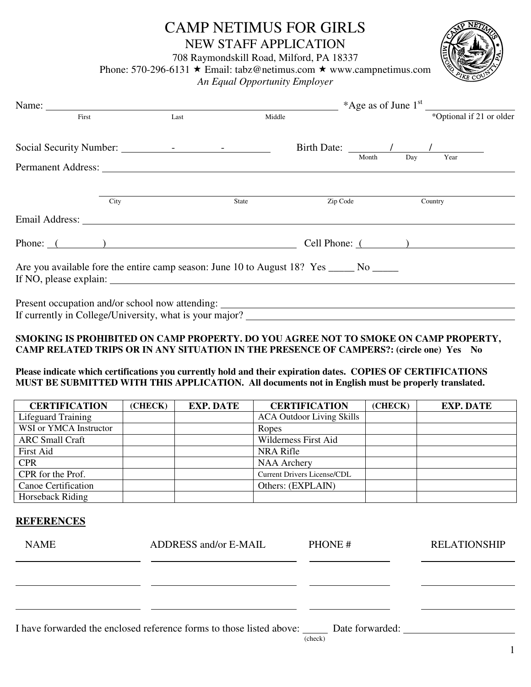## CAMP NETIMUS FOR GIRLS NEW STAFF APPLICATION

708 Raymondskill Road, Milford, PA 18337

Phone: 570-296-6131  $\star$  Email: tabz@netimus.com  $\star$  www.campnetimus.com

*An Equal Opportunity Employer* 

| ETUNC |
|-------|
|       |
| ΙĘ    |
|       |
|       |
|       |

| Name:                                                                                   |      |        |                 |          |     |                          |
|-----------------------------------------------------------------------------------------|------|--------|-----------------|----------|-----|--------------------------|
| First                                                                                   | Last | Middle |                 |          |     | *Optional if 21 or older |
|                                                                                         |      |        |                 |          |     | Birth Date: 1 1          |
| Permanent Address: New York Contract and Separate Section 2016.                         |      |        |                 | Month    | Day | Year                     |
| City                                                                                    |      | State  |                 | Zip Code |     | Country                  |
|                                                                                         |      |        |                 |          |     |                          |
| Phone: ()                                                                               |      |        | Cell Phone: $($ |          |     |                          |
| Are you available fore the entire camp season: June 10 to August 18? Yes _____ No _____ |      |        |                 |          |     |                          |
| Present occupation and/or school now attending: _________________________________       |      |        |                 |          |     |                          |

#### **SMOKING IS PROHIBITED ON CAMP PROPERTY. DO YOU AGREE NOT TO SMOKE ON CAMP PROPERTY, CAMP RELATED TRIPS OR IN ANY SITUATION IN THE PRESENCE OF CAMPERS?: (circle one) Yes No**

**Please indicate which certifications you currently hold and their expiration dates. COPIES OF CERTIFICATIONS MUST BE SUBMITTED WITH THIS APPLICATION. All documents not in English must be properly translated.** 

| <b>CERTIFICATION</b>   | (CHECK) | <b>EXP. DATE</b> | <b>CERTIFICATION</b>               | (CHECK) | <b>EXP. DATE</b> |
|------------------------|---------|------------------|------------------------------------|---------|------------------|
| Lifeguard Training     |         |                  | <b>ACA Outdoor Living Skills</b>   |         |                  |
| WSI or YMCA Instructor |         |                  | Ropes                              |         |                  |
| <b>ARC Small Craft</b> |         |                  | Wilderness First Aid               |         |                  |
| <b>First Aid</b>       |         |                  | NRA Rifle                          |         |                  |
| <b>CPR</b>             |         |                  | <b>NAA Archery</b>                 |         |                  |
| CPR for the Prof.      |         |                  | <b>Current Drivers License/CDL</b> |         |                  |
| Canoe Certification    |         |                  | Others: (EXPLAIN)                  |         |                  |
| Horseback Riding       |         |                  |                                    |         |                  |

#### **REFERENCES**

| <b>NAME</b> | ADDRESS and/or E-MAIL                                                                | PHONE#  | <b>RELATIONSHIP</b> |
|-------------|--------------------------------------------------------------------------------------|---------|---------------------|
|             |                                                                                      |         |                     |
|             |                                                                                      |         |                     |
|             | I have forwarded the enclosed reference forms to those listed above: Date forwarded: |         |                     |
|             |                                                                                      | (check) |                     |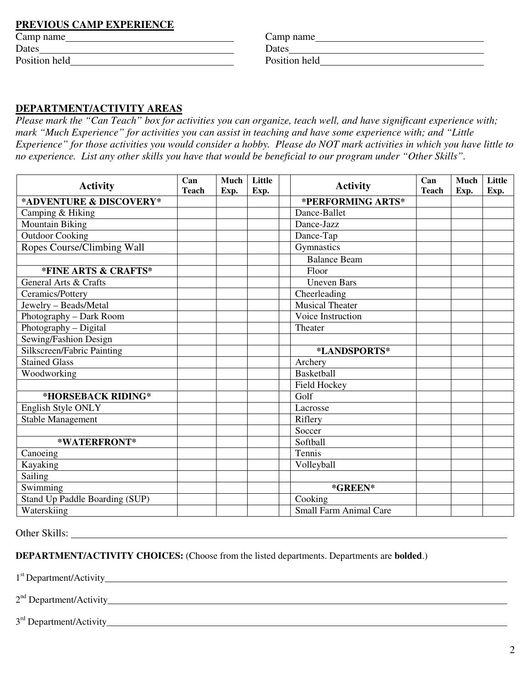### **PREVIOUS CAMP EXPERIENCE**

| Camp name     | Camp name     |
|---------------|---------------|
| Dates         | Dates         |
| Position held | Position held |

| Camp name     |  |
|---------------|--|
| Dates         |  |
| Position held |  |

#### **DEPARTMENT/ACTIVITY AREAS**

*Please mark the "Can Teach" box for activities you can organize, teach well, and have significant experience with; mark "Much Experience" for activities you can assist in teaching and have some experience with; and "Little Experience" for those activities you would consider a hobby. Please do NOT mark activities in which you have little to no experience. List any other skills you have that would be beneficial to our program under "Other Skills".* 

| <b>Activity</b>                | Can<br><b>Teach</b> | Much | Little | <b>Activity</b>               | Can<br><b>Teach</b> | Much | Little |
|--------------------------------|---------------------|------|--------|-------------------------------|---------------------|------|--------|
| *ADVENTURE & DISCOVERY*        |                     | Exp. | Exp.   | *PERFORMING ARTS*             |                     | Exp. | Exp.   |
| Camping & Hiking               |                     |      |        | Dance-Ballet                  |                     |      |        |
| <b>Mountain Biking</b>         |                     |      |        | Dance-Jazz                    |                     |      |        |
| <b>Outdoor Cooking</b>         |                     |      |        | Dance-Tap                     |                     |      |        |
| Ropes Course/Climbing Wall     |                     |      |        | Gymnastics                    |                     |      |        |
|                                |                     |      |        | Balance Beam                  |                     |      |        |
| *FINE ARTS & CRAFTS*           |                     |      |        | Floor                         |                     |      |        |
| General Arts & Crafts          |                     |      |        | <b>Uneven Bars</b>            |                     |      |        |
| Ceramics/Pottery               |                     |      |        | Cheerleading                  |                     |      |        |
| Jewelry - Beads/Metal          |                     |      |        | Musical Theater               |                     |      |        |
| Photography - Dark Room        |                     |      |        | Voice Instruction             |                     |      |        |
| Photography - Digital          |                     |      |        | Theater                       |                     |      |        |
| Sewing/Fashion Design          |                     |      |        |                               |                     |      |        |
| Silkscreen/Fabric Painting     |                     |      |        | *LANDSPORTS*                  |                     |      |        |
| <b>Stained Glass</b>           |                     |      |        | Archery                       |                     |      |        |
| Woodworking                    |                     |      |        | <b>Basketball</b>             |                     |      |        |
|                                |                     |      |        | Field Hockey                  |                     |      |        |
| *HORSEBACK RIDING*             |                     |      |        | Golf                          |                     |      |        |
| English Style ONLY             |                     |      |        | Lacrosse                      |                     |      |        |
| <b>Stable Management</b>       |                     |      |        | Riflery                       |                     |      |        |
|                                |                     |      |        | Soccer                        |                     |      |        |
| *WATERFRONT*                   |                     |      |        | Softball                      |                     |      |        |
| Canoeing                       |                     |      |        | Tennis                        |                     |      |        |
| Kayaking                       |                     |      |        | Volleyball                    |                     |      |        |
| Sailing                        |                     |      |        |                               |                     |      |        |
| Swimming                       |                     |      |        | *GREEN*                       |                     |      |        |
| Stand Up Paddle Boarding (SUP) |                     |      |        | Cooking                       |                     |      |        |
| Waterskiing                    |                     |      |        | <b>Small Farm Animal Care</b> |                     |      |        |

Other Skills:

**DEPARTMENT/ACTIVITY CHOICES:** (Choose from the listed departments. Departments are **bolded**.)

1<sup>st</sup> Department/Activity

2<sup>nd</sup> Department/Activity

3<sup>rd</sup> Department/Activity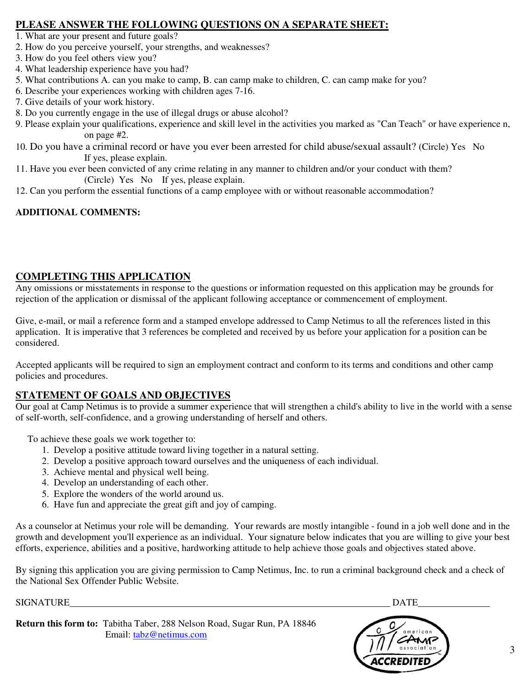## **PLEASE ANSWER THE FOLLOWING QUESTIONS ON A SEPARATE SHEET:**

- 1. What are your present and future goals?
- 2. How do you perceive yourself, your strengths, and weaknesses?
- 3. How do you feel others view you?
- 4. What leadership experience have you had?
- 5. What contributions A. can you make to camp, B. can camp make to children, C. can camp make for you?
- 6. Describe your experiences working with children ages 7-16.
- 7. Give details of your work history.
- 8. Do you currently engage in the use of illegal drugs or abuse alcohol?
- 9. Please explain your qualifications, experience and skill level in the activities you marked as "Can Teach" or have experience n, on page #2.
- 10. Do you have a criminal record or have you ever been arrested for child abuse/sexual assault? (Circle) Yes No If yes, please explain.
- 11. Have you ever been convicted of any crime relating in any manner to children and/or your conduct with them? (Circle) Yes No If yes, please explain.
- 12. Can you perform the essential functions of a camp employee with or without reasonable accommodation?

## **ADDITIONAL COMMENTS:**

## **COMPLETING THIS APPLICATION**

Any omissions or misstatements in response to the questions or information requested on this application may be grounds for rejection of the application or dismissal of the applicant following acceptance or commencement of employment.

Give, e-mail, or mail a reference form and a stamped envelope addressed to Camp Netimus to all the references listed in this application. It is imperative that 3 references be completed and received by us before your application for a position can be considered.

Accepted applicants will be required to sign an employment contract and conform to its terms and conditions and other camp policies and procedures.

## **STATEMENT OF GOALS AND OBJECTIVES**

Our goal at Camp Netimus is to provide a summer experience that will strengthen a child's ability to live in the world with a sense of self-worth, self-confidence, and a growing understanding of herself and others.

To achieve these goals we work together to:

- 1. Develop a positive attitude toward living together in a natural setting.
- 2. Develop a positive approach toward ourselves and the uniqueness of each individual.
- 3. Achieve mental and physical well being.
- 4. Develop an understanding of each other.
- 5. Explore the wonders of the world around us.
- 6. Have fun and appreciate the great gift and joy of camping.

As a counselor at Netimus your role will be demanding. Your rewards are mostly intangible - found in a job well done and in the growth and development you'll experience as an individual. Your signature below indicates that you are willing to give your best efforts, experience, abilities and a positive, hardworking attitude to help achieve those goals and objectives stated above.

By signing this application you are giving permission to Camp Netimus, Inc. to run a criminal background check and a check of the National Sex Offender Public Website.

SIGNATURE DATE

**Return this form to:** Tabitha Taber, 288 Nelson Road, Sugar Run, PA 18846 Email: tabz@netimus.com

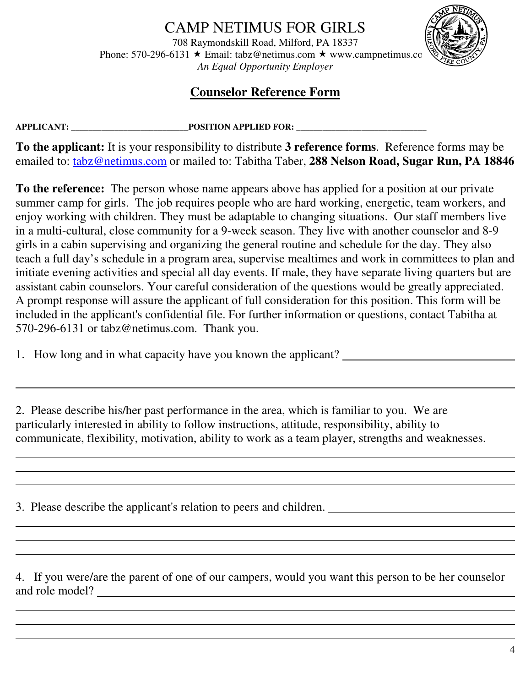# CAMP NETIMUS FOR GIRLS

708 Raymondskill Road, Milford, PA 18337 Phone: 570-296-6131  $\star$  Email: tabz@netimus.com  $\star$  www.campnetimus.com *An Equal Opportunity Employer* 



# **Counselor Reference Form**

 $\overline{a}$ 

 $\overline{a}$  $\overline{a}$ 

 $\overline{a}$ 

**APPLICANT: \_\_\_\_\_\_\_\_\_\_\_\_\_\_\_\_\_\_\_\_\_\_\_\_\_\_\_POSITION APPLIED FOR: \_\_\_\_\_\_\_\_\_\_\_\_\_\_\_\_\_\_\_\_\_\_\_\_\_\_\_\_\_\_** 

**To the applicant:** It is your responsibility to distribute **3 reference forms**. Reference forms may be emailed to: tabz@netimus.com or mailed to: Tabitha Taber, **288 Nelson Road, Sugar Run, PA 18846**

**To the reference:** The person whose name appears above has applied for a position at our private summer camp for girls. The job requires people who are hard working, energetic, team workers, and enjoy working with children. They must be adaptable to changing situations. Our staff members live in a multi-cultural, close community for a 9-week season. They live with another counselor and 8-9 girls in a cabin supervising and organizing the general routine and schedule for the day. They also teach a full day's schedule in a program area, supervise mealtimes and work in committees to plan and initiate evening activities and special all day events. If male, they have separate living quarters but are assistant cabin counselors. Your careful consideration of the questions would be greatly appreciated. A prompt response will assure the applicant of full consideration for this position. This form will be included in the applicant's confidential file. For further information or questions, contact Tabitha at 570-296-6131 or tabz@netimus.com. Thank you.

and the control of the control of the control of the control of the control of the control of the control of the

1. How long and in what capacity have you known the applicant?

2. Please describe his/her past performance in the area, which is familiar to you. We are particularly interested in ability to follow instructions, attitude, responsibility, ability to communicate, flexibility, motivation, ability to work as a team player, strengths and weaknesses.

3. Please describe the applicant's relation to peers and children.

4. If you were/are the parent of one of our campers, would you want this person to be her counselor and role model?